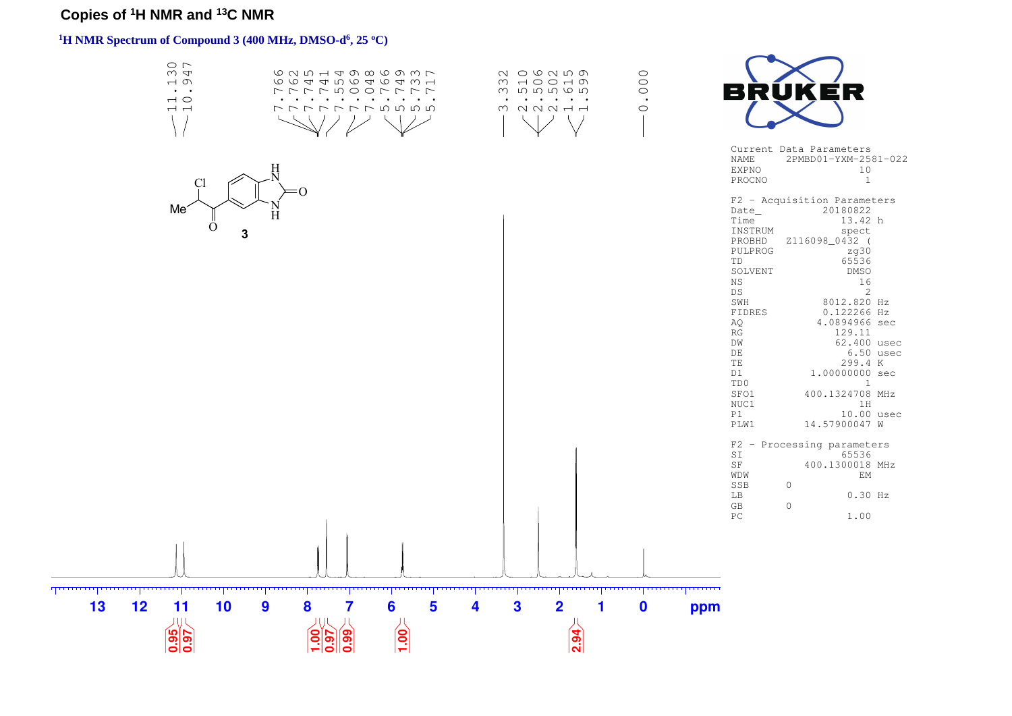# **Copies of <sup>1</sup>H NMR and <sup>13</sup>C NMR**

# **<sup>1</sup>H NMR Spectrum of Compound 3 (400 MHz, DMSO-d<sup>6</sup> , 25 <sup>o</sup>C)**

|          | $\circ$ $\sim$<br>$\omega$ 4<br>$\overline{\phantom{a}}$<br>$\ddot{\phantom{1}}$<br>$\overline{\phantom{0}}$<br>$\overline{a}$ | CONTHAVOOUWL<br>66445646461<br>ファファ ちOOファファ<br>the contract of the contract of the contract of<br>ファファファフちらら |                             | N O C N L N N<br>w www ww<br>M N N N H H |                | $\circ$<br>$\overline{O}$<br>$\bullet$<br>$\circ$               |                                                                                                                                                                                                                       | ER<br>Current Data Parameters                                                                                                                                                                                                                                                                                                                           |
|----------|--------------------------------------------------------------------------------------------------------------------------------|--------------------------------------------------------------------------------------------------------------|-----------------------------|------------------------------------------|----------------|-----------------------------------------------------------------|-----------------------------------------------------------------------------------------------------------------------------------------------------------------------------------------------------------------------|---------------------------------------------------------------------------------------------------------------------------------------------------------------------------------------------------------------------------------------------------------------------------------------------------------------------------------------------------------|
|          | Cl<br>Me<br>$\scriptstyle\rm ($ )<br>3                                                                                         |                                                                                                              |                             |                                          |                |                                                                 | <b>NAME</b><br><b>EXPNO</b><br>PROCNO<br>Date<br>Time<br>INSTRUM<br>PROBHD<br>PULPROG<br>TD<br>SOLVENT<br>$_{\rm NS}$<br>DS<br>SWH<br>FIDRES<br>AQ<br>RG<br>DW<br>DE<br>TE<br>D1<br>TD0<br>SFO1<br>NUC1<br>P1<br>PLW1 | 2PMBD01-YXM-2581-022<br>10<br><sup>1</sup><br>F2 - Acquisition Parameters<br>20180822<br>13.42 h<br>spect<br>Z116098_0432 (<br>zq30<br>65536<br><b>DMSO</b><br>16<br>2<br>8012.820 Hz<br>0.122266 Hz<br>4.0894966 sec<br>129.11<br>62.400 usec<br>$6.50$ usec<br>299.4 K<br>1.00000000 sec<br>1<br>400.1324708 MHz<br>1H<br>10.00 usec<br>14.57900047 W |
| 13<br>12 | 11<br>10<br>J(J)<br>$\frac{16}{100}$                                                                                           | 8<br>9<br>7<br>$\frac{0}{1}$<br>$\overline{\overline{\mathbf{60}}}$<br>$\frac{1}{26}$                        | 6<br>5<br>4<br>$\boxed{00}$ | 3<br>$\overline{2}$                      | $\boxed{2.94}$ | <u>man and a community community</u><br>$\boldsymbol{0}$<br>ppm | SI<br>$\rm{SF}$<br>WDW<br>SSB<br>LB<br>GB<br>PC                                                                                                                                                                       | F2 - Processing parameters<br>65536<br>400.1300018 MHz<br>EM<br>$\Omega$<br>$0.30$ Hz<br>$\circ$<br>1.00                                                                                                                                                                                                                                                |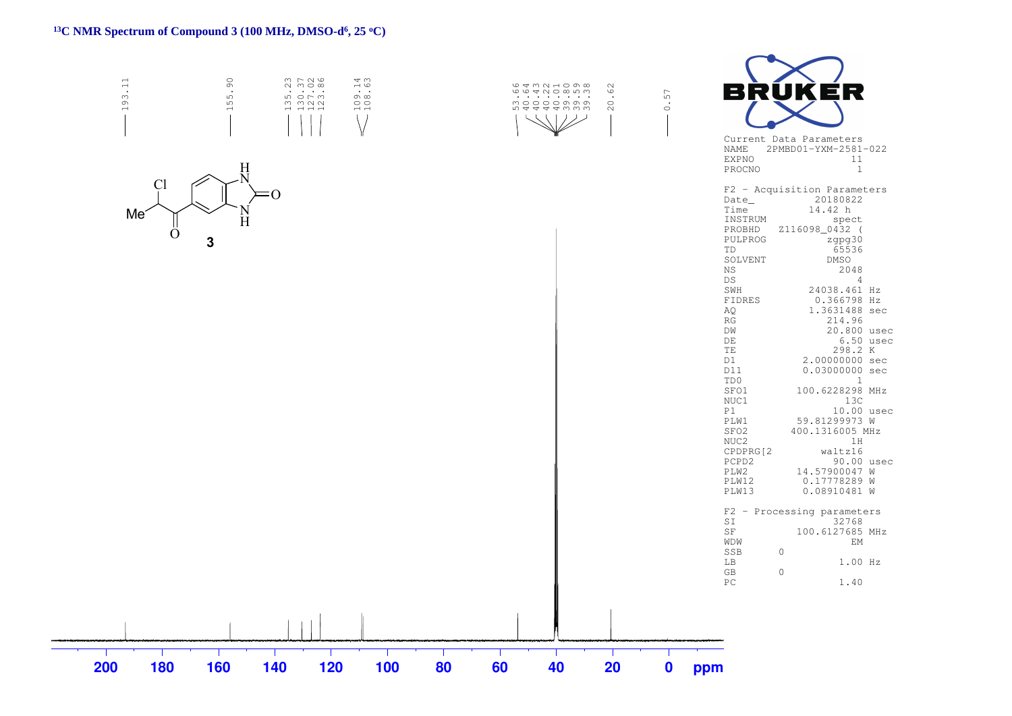#### **<sup>13</sup>C NMR Spectrum of Compound 3 (100 MHz, DMSO-d<sup>6</sup> , 25 <sup>o</sup>C)**

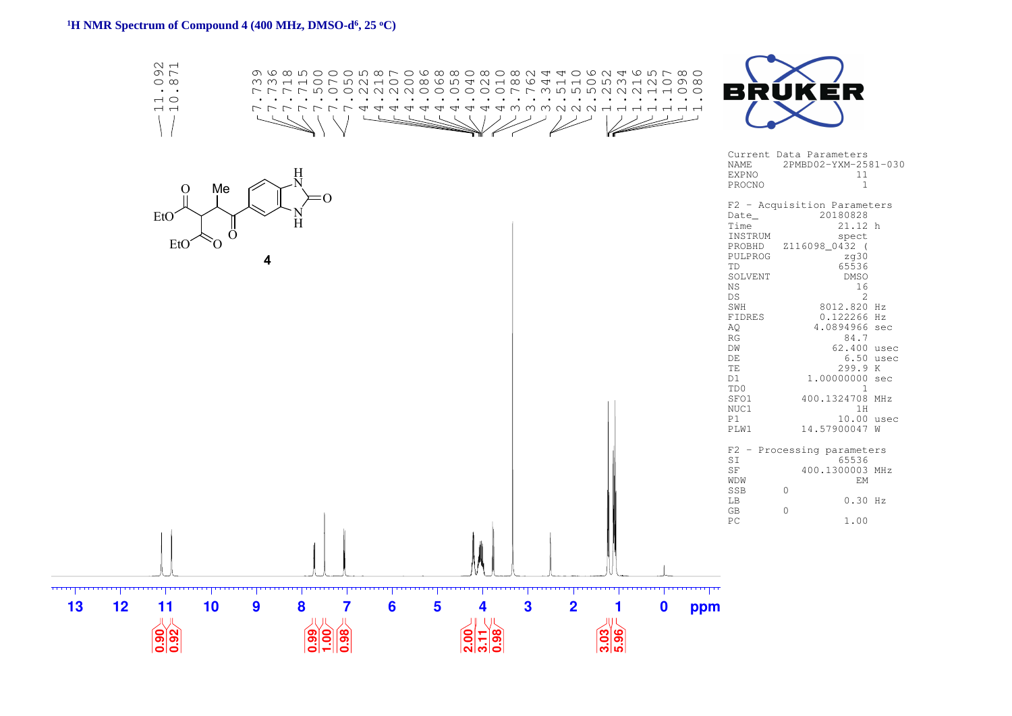#### **<sup>1</sup>H NMR Spectrum of Compound 4 (400 MHz, DMSO-d<sup>6</sup> , 25 <sup>o</sup>C)**

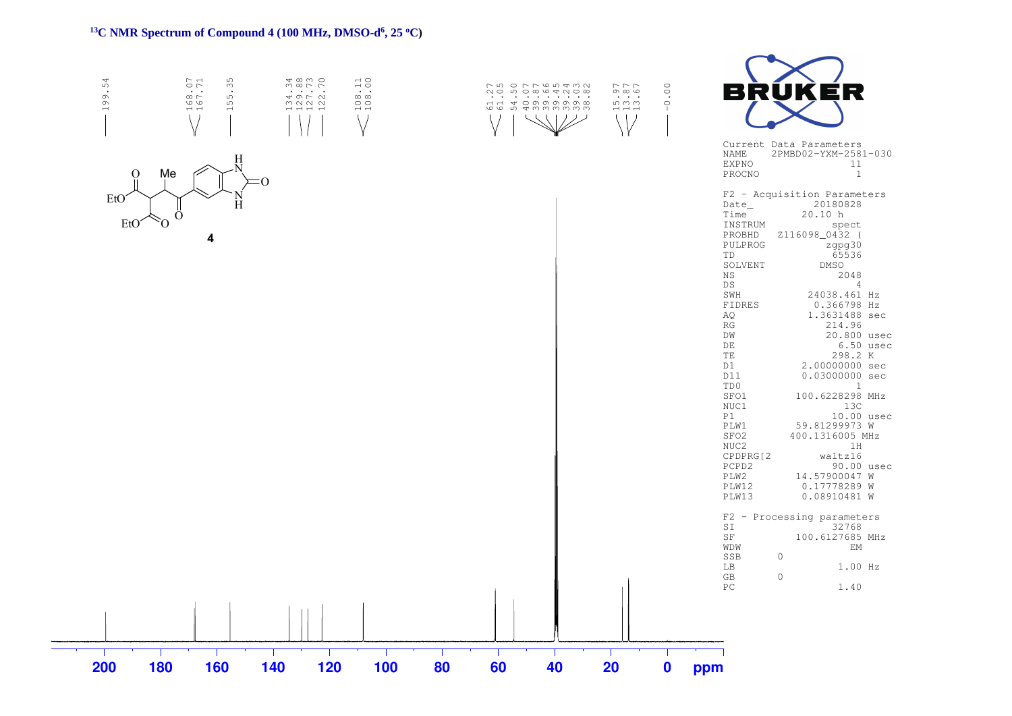#### **<sup>13</sup>C NMR Spectrum of Compound 4 (100 MHz, DMSO-d<sup>6</sup> , 25 <sup>o</sup>C)**

| 54<br>199.                                                | .71<br>35<br>$\mathfrak{S}$<br>$.168$<br>$.167$<br>$\mathfrak{S}$<br>$\overline{ }$<br>$\langle \ \rangle$ | $3000$<br>$700$<br>$700$<br>39722<br>$\rightarrow$ $\rightarrow$ $\rightarrow$ $\rightarrow$ | $108.11$<br>$108.00$<br>$\vee$ | $\setminus$<br>$\pm 1/2$<br>リノ | 77800<br>$\sim$ $\sim$ $\sim$<br>$m \, m \, m$<br>$\overline{\phantom{a}}$ $\overline{\phantom{a}}$ $\overline{\phantom{a}}$ $\overline{\phantom{a}}$<br>$\setminus$   $\setminus$ | 0.00<br>- 11 | RUK<br>ER<br>В<br>Current Data Parameters<br>2PMBD02-YXM-2581-030<br>NAME                                                                                                                                                                                                                                                                                                                                                                                                                                                                                                                                                                                                                                                                                                                                                                                                                        |
|-----------------------------------------------------------|------------------------------------------------------------------------------------------------------------|----------------------------------------------------------------------------------------------|--------------------------------|--------------------------------|------------------------------------------------------------------------------------------------------------------------------------------------------------------------------------|--------------|--------------------------------------------------------------------------------------------------------------------------------------------------------------------------------------------------------------------------------------------------------------------------------------------------------------------------------------------------------------------------------------------------------------------------------------------------------------------------------------------------------------------------------------------------------------------------------------------------------------------------------------------------------------------------------------------------------------------------------------------------------------------------------------------------------------------------------------------------------------------------------------------------|
| $\mathbf{O}$<br>EtO <sup>®</sup><br>EtO <sup>®</sup><br>Ω | Н<br>Me<br>H<br>Ő<br>4                                                                                     | ፡0                                                                                           |                                |                                |                                                                                                                                                                                    |              | <b>EXPNO</b><br>11<br>PROCNO<br>$\overline{1}$<br>F2 - Acquisition Parameters<br>20180828<br>Date_<br>20.10 h<br>Time<br>INSTRUM<br>spect<br>PROBHD<br>Z116098_0432 (<br>PULPROG<br>zgpg30<br>65536<br>TD<br>SOLVENT<br>DMSO<br>2048<br>$_{\rm NS}$<br>DS<br>$\overline{4}$<br>SWH<br>24038.461 Hz<br>FIDRES<br>0.366798 Hz<br>AQ<br>1.3631488 sec<br>214.96<br>$\mathbb{R}\mathbb{G}$<br>20.800 usec<br>DW<br>DE<br>$6.50$ usec<br>TE<br>298.2 K<br>2.00000000 sec<br>D1<br>0.03000000 sec<br>D11<br>$\overline{1}$<br>TD0<br>100.6228298 MHz<br>SFO1<br>NUC1<br>13C<br>10.00 usec<br>P1<br>59.81299973 W<br>PLW1<br>SFO2<br>400.1316005 MHz<br>NUC2<br>1H<br>CPDPRG[2<br>waltz16<br>PCPD2<br>90.00 usec<br>PLW2<br>14.57900047 W<br>PLW12<br>0.17778289 W<br>PLW13<br>0.08910481 W<br>F2 - Processing parameters<br>SI<br>32768<br>$\rm{SF}$<br>100.6127685 MHz<br>WDW<br>EM<br>$\circ$<br>SSB |
|                                                           |                                                                                                            |                                                                                              |                                |                                |                                                                                                                                                                                    |              | 1.00 Hz<br>LB<br>$\mathbb{G}\mathbb{B}$<br>$\circ$<br>PC<br>1.40                                                                                                                                                                                                                                                                                                                                                                                                                                                                                                                                                                                                                                                                                                                                                                                                                                 |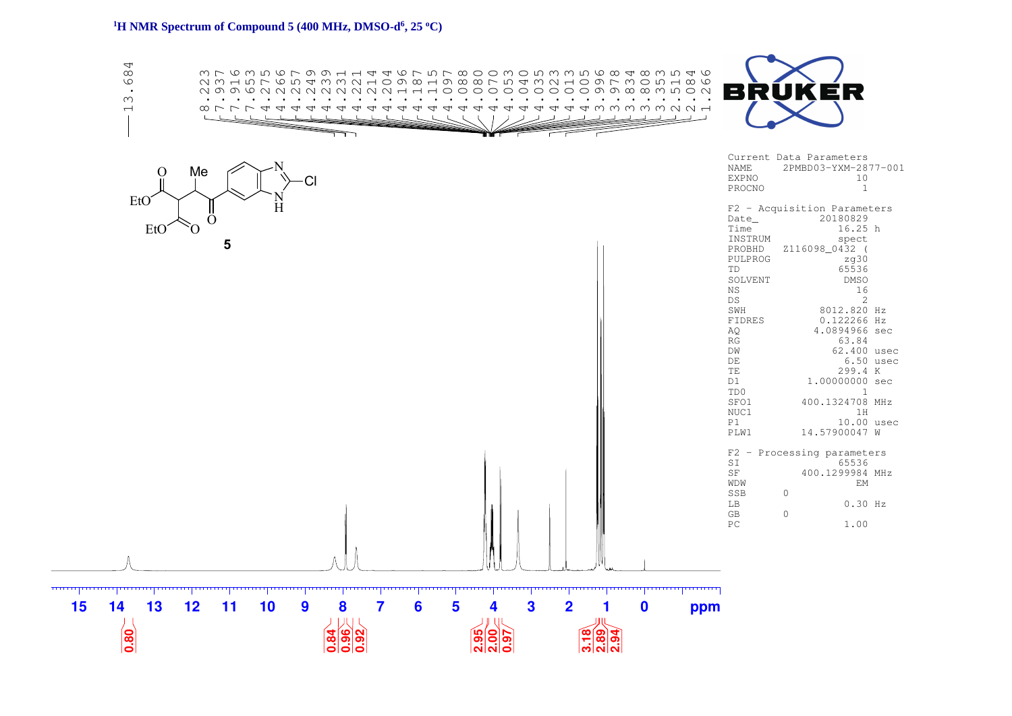#### **<sup>1</sup>H NMR Spectrum of Compound 5 (400 MHz, DMSO-d<sup>6</sup> , 25 <sup>o</sup>C)**

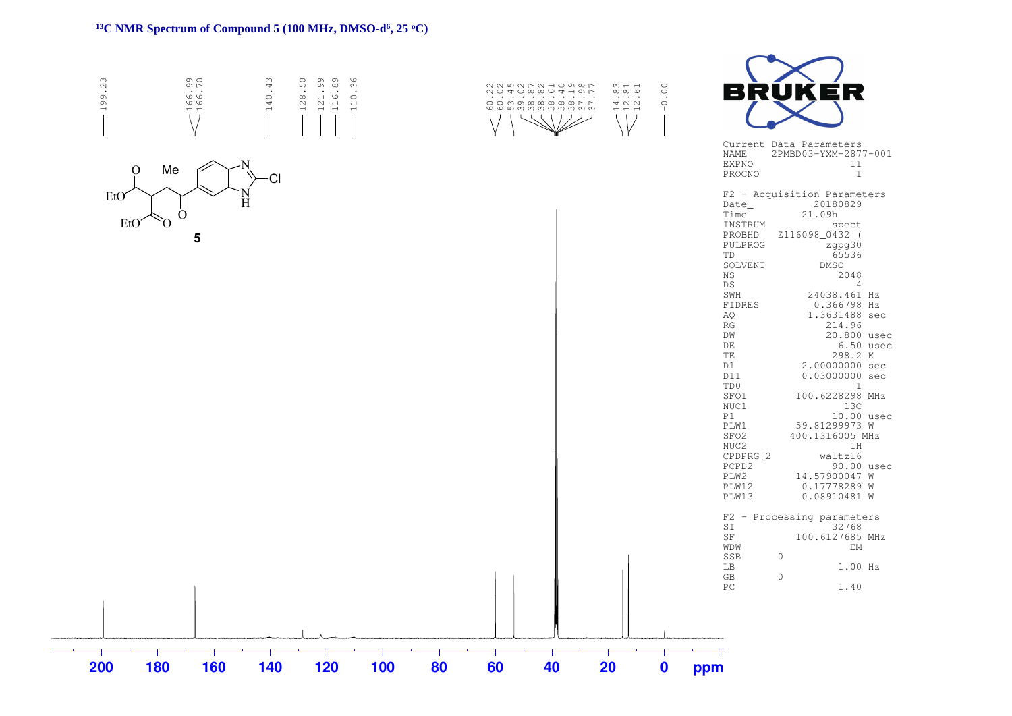### **<sup>13</sup>C NMR Spectrum of Compound 5 (100 MHz, DMSO-d<sup>6</sup> , 25 <sup>o</sup>C)**

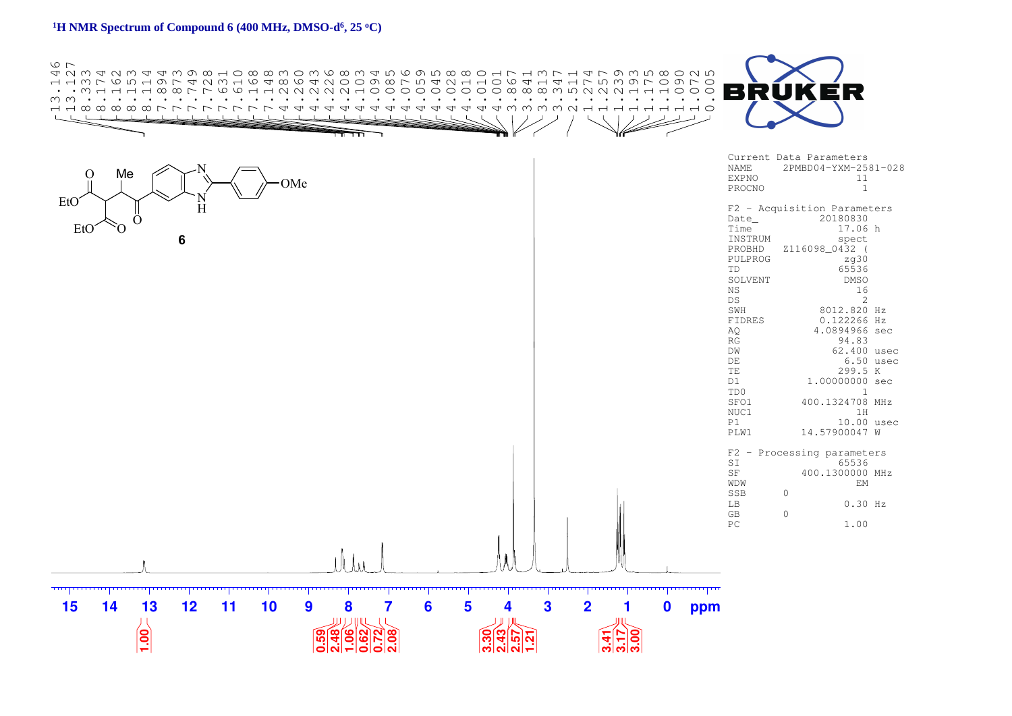## **<sup>1</sup>H NMR Spectrum of Compound 6 (400 MHz, DMSO-d<sup>6</sup> , 25 <sup>o</sup>C)**

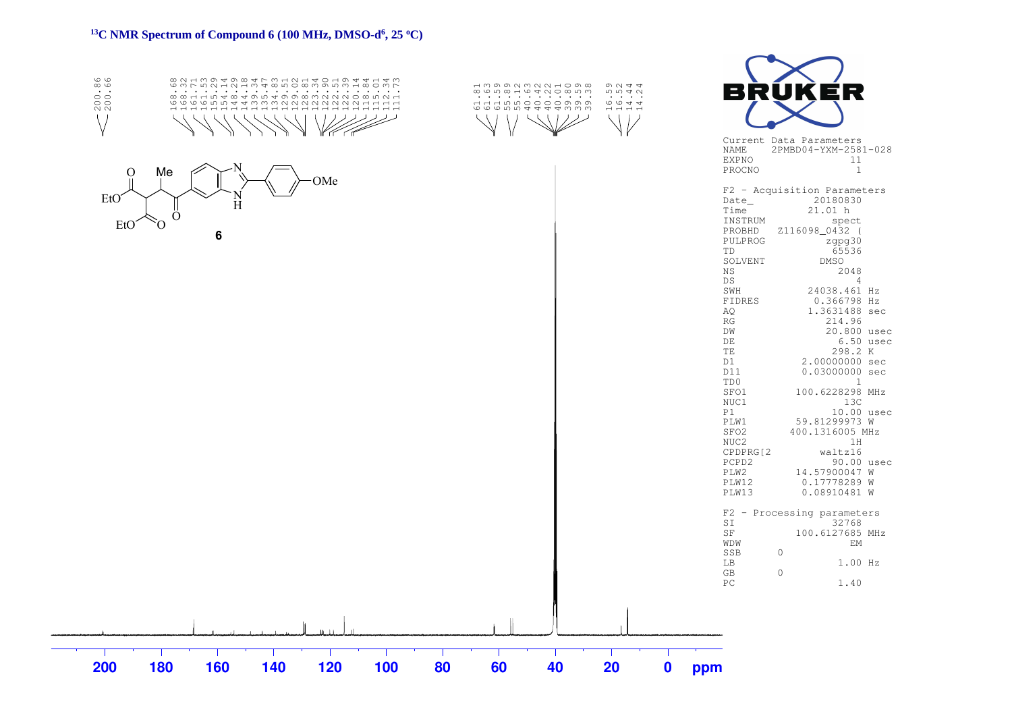# <sup>13</sup>C NMR Spectrum of Compound 6 (100 MHz, DMSO-d<sup>6</sup>, 25 °C)

| 200.86<br>88812884848888888888888<br>6666510443322222224124<br>----------------------------<br>$\langle \ \rangle$ | dwoowwwwddow<br>$Q \cup Q$<br>$\begin{array}{c} \circ \\ \circ \\ \circ \end{array}$<br>0040<br>والمناولة والأراوية والمناورة والمناورة<br>$\sim$ $\sim$ $\sim$<br>G G G D D 4 4 4 4 W W W W G G G D W W W<br>0044 | BRUKER                                                                                                                                                                                                                                                                                                                                                                                                                                                                                                                                                                                                                                                                                                                                                                                                                                                                                                                                                                                                               |
|--------------------------------------------------------------------------------------------------------------------|--------------------------------------------------------------------------------------------------------------------------------------------------------------------------------------------------------------------|----------------------------------------------------------------------------------------------------------------------------------------------------------------------------------------------------------------------------------------------------------------------------------------------------------------------------------------------------------------------------------------------------------------------------------------------------------------------------------------------------------------------------------------------------------------------------------------------------------------------------------------------------------------------------------------------------------------------------------------------------------------------------------------------------------------------------------------------------------------------------------------------------------------------------------------------------------------------------------------------------------------------|
| Me<br>O<br>OMe<br>EtO<br>H<br>O<br>Ò.<br>EtO<br>6                                                                  |                                                                                                                                                                                                                    | Current Data Parameters<br>NAME<br>2PMBD04-YXM-2581-028<br><b>EXPNO</b><br>11<br>$\mathbf{1}$<br>PROCNO<br>F2 - Acquisition Parameters<br>20180830<br>Date_<br>Time<br>21.01 h<br>INSTRUM<br>spect<br>Z116098_0432 (<br>PROBHD<br>PULPROG<br>zgpg30<br>65536<br>TD<br>SOLVENT<br><b>DMSO</b><br>2048<br>ΝS<br>$\overline{4}$<br>DS<br>SWH<br>24038.461 Hz<br>FIDRES<br>0.366798 Hz<br>AQ<br>1.3631488 sec<br>RG<br>214.96<br>DW<br>20.800 usec<br>DE<br>$6.50$ usec<br>TE<br>298.2 K<br>2.00000000 sec<br>D1<br>D11<br>0.03000000 sec<br>TD0<br>1<br>SFO1<br>100.6228298 MHz<br>NUC1<br>13C<br>P1<br>10.00 usec<br>PLW1<br>59.81299973 W<br>SFO <sub>2</sub><br>400.1316005 MHz<br>NUC2<br>1H<br>CPDPRG[2<br>waltz16<br>PCPD2<br>90.00 usec<br>PLW2<br>14.57900047 W<br>PLW12<br>0.17778289 W<br>PLW13<br>0.08910481 W<br>F2 - Processing parameters<br>SI<br>32768<br>$\rm{SF}$<br>100.6127685 MHz<br>WDW<br>EM<br>SSB<br>$\circ$<br>1.00 Hz<br>LB<br>$\mathbb{G}\mathbb{B}$<br>$\circ$<br>${\rm P}{\bf C}$<br>1.40 |
| 200<br>180<br>160<br>120<br>100<br>140                                                                             | 80<br>60<br>40<br>20<br>$\boldsymbol{0}$                                                                                                                                                                           | ppm                                                                                                                                                                                                                                                                                                                                                                                                                                                                                                                                                                                                                                                                                                                                                                                                                                                                                                                                                                                                                  |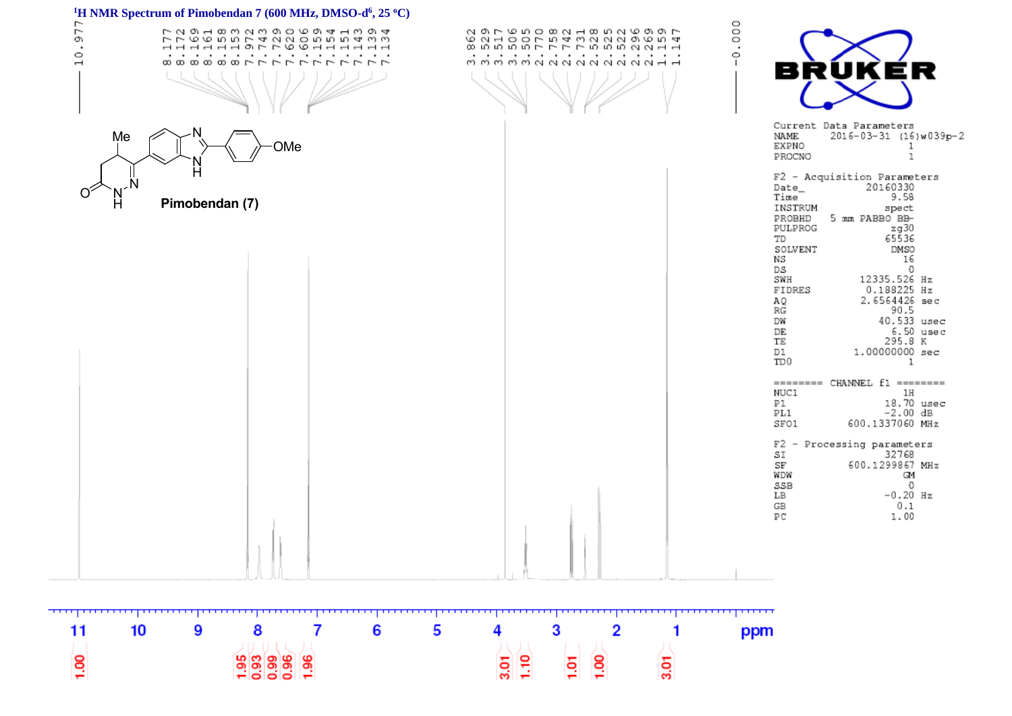